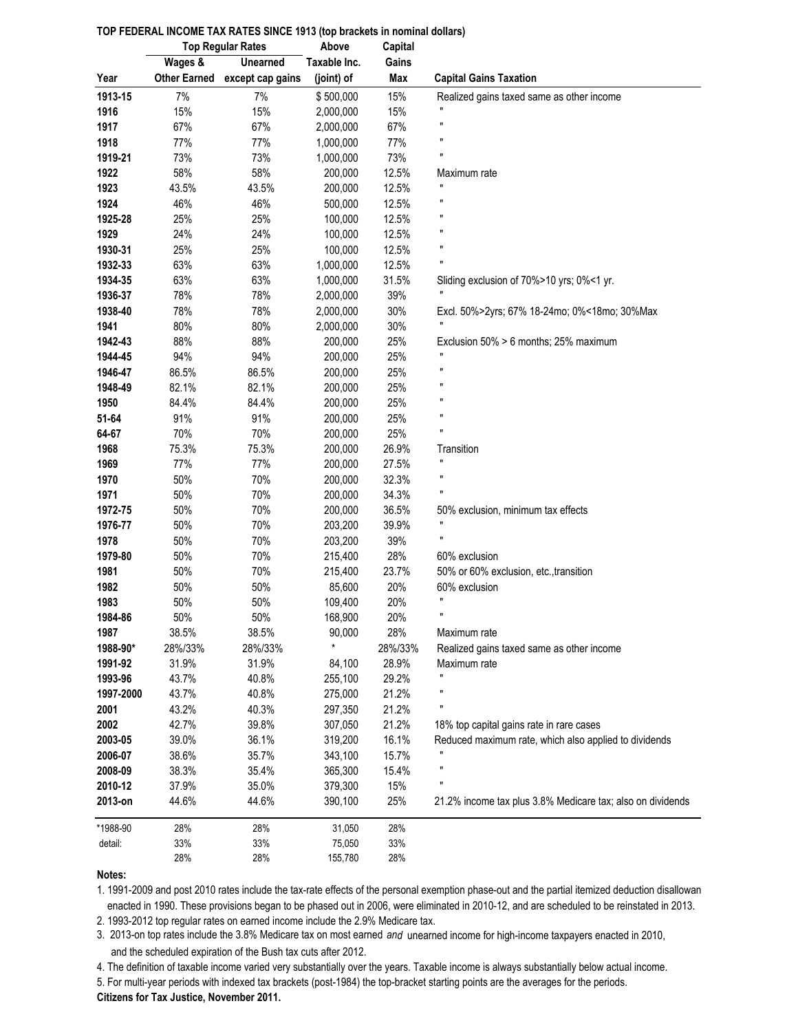|                  | <b>Top Regular Rates</b> |                  | Above              | Capital    |                                                            |
|------------------|--------------------------|------------------|--------------------|------------|------------------------------------------------------------|
|                  | Wages &                  | <b>Unearned</b>  | Taxable Inc.       | Gains      |                                                            |
| Year             | <b>Other Earned</b>      | except cap gains | (joint) of         | Max        | <b>Capital Gains Taxation</b>                              |
| 1913-15          | 7%                       | 7%               | \$500,000          | 15%        | Realized gains taxed same as other income                  |
| 1916             | 15%                      | 15%              | 2,000,000          | 15%        |                                                            |
| 1917             | 67%                      | 67%              | 2,000,000          | 67%        | Ţ.                                                         |
| 1918             | 77%                      | 77%              | 1,000,000          | 77%        | Ţ.                                                         |
| 1919-21          | 73%                      | 73%              | 1,000,000          | 73%        | Ţ.                                                         |
| 1922             | 58%                      | 58%              | 200,000            | 12.5%      | Maximum rate                                               |
| 1923             | 43.5%                    | 43.5%            | 200,000            | 12.5%      | n                                                          |
| 1924             | 46%                      | 46%              | 500,000            | 12.5%      | Ħ                                                          |
| 1925-28          | 25%                      | 25%              | 100,000            | 12.5%      | H                                                          |
| 1929             | 24%                      | 24%              | 100,000            | 12.5%      | Ħ                                                          |
| 1930-31          | 25%                      | 25%              | 100,000            | 12.5%      | $\blacksquare$                                             |
| 1932-33          | 63%                      | 63%              | 1,000,000          | 12.5%      | Ţ.                                                         |
| 1934-35          | 63%                      | 63%              | 1,000,000          | 31.5%      | Sliding exclusion of 70%>10 yrs; 0%<1 yr.                  |
| 1936-37          | 78%                      | 78%              | 2,000,000          | 39%        |                                                            |
| 1938-40          | 78%                      | 78%              | 2,000,000          | 30%        | Excl. 50%>2yrs; 67% 18-24mo; 0%<18mo; 30%Max               |
| 1941             | 80%                      | 80%              | 2,000,000          | 30%        |                                                            |
| 1942-43          | 88%                      | 88%              | 200,000            | 25%        | Exclusion 50% > 6 months; 25% maximum                      |
| 1944-45          | 94%                      | 94%              | 200,000            | 25%        | Ĥ,                                                         |
| 1946-47          | 86.5%                    | 86.5%            | 200,000            | 25%        | Ţ.                                                         |
| 1948-49          | 82.1%                    | 82.1%            | 200,000            | 25%        | H                                                          |
| 1950             | 84.4%                    | 84.4%            | 200,000            | 25%        | Ħ                                                          |
| 51-64            | 91%                      | 91%              | 200,000            | 25%        |                                                            |
| 64-67            | 70%                      | 70%              | 200,000            | 25%        | Ĥ,                                                         |
| 1968             | 75.3%                    | 75.3%            | 200,000            | 26.9%      | Transition                                                 |
| 1969             | 77%                      | 77%              |                    | 27.5%      | Ĥ,                                                         |
| 1970             | 50%                      | 70%              | 200,000<br>200,000 | 32.3%      | Ţ.                                                         |
| 1971             | 50%                      | 70%              | 200,000            | 34.3%      |                                                            |
| 1972-75          | 50%                      | 70%              |                    | 36.5%      |                                                            |
| 1976-77          | 50%                      | 70%              | 200,000<br>203,200 | 39.9%      | 50% exclusion, minimum tax effects                         |
| 1978             | 50%                      | 70%              | 203,200            | 39%        | H                                                          |
| 1979-80          | 50%                      | 70%              |                    | 28%        |                                                            |
| 1981             | 50%                      | 70%              | 215,400<br>215,400 | 23.7%      | 60% exclusion<br>50% or 60% exclusion, etc., transition    |
|                  |                          |                  |                    |            |                                                            |
| 1982<br>1983     | 50%<br>50%               | 50%<br>50%       | 85,600             | 20%<br>20% | 60% exclusion<br>Ħ                                         |
| 1984-86          | 50%                      | 50%              | 109,400<br>168,900 | 20%        | Ħ                                                          |
|                  | 38.5%                    | 38.5%            |                    | 28%        | Maximum rate                                               |
| 1987<br>1988-90* | 28%/33%                  | 28%/33%          | 90,000<br>$\star$  | 28%/33%    |                                                            |
| 1991-92          | 31.9%                    | 31.9%            | 84,100             | 28.9%      | Realized gains taxed same as other income<br>Maximum rate  |
| 1993-96          | 43.7%                    | 40.8%            | 255,100            | 29.2%      |                                                            |
| 1997-2000        | 43.7%                    | 40.8%            | 275,000            | 21.2%      |                                                            |
| 2001             | 43.2%                    | 40.3%            | 297,350            | 21.2%      |                                                            |
| 2002             | 42.7%                    |                  |                    |            |                                                            |
|                  |                          | 39.8%            | 307,050            | 21.2%      | 18% top capital gains rate in rare cases                   |
| 2003-05          | 39.0%                    | 36.1%            | 319,200            | 16.1%      | Reduced maximum rate, which also applied to dividends      |
| 2006-07          | 38.6%                    | 35.7%            | 343,100            | 15.7%      |                                                            |
| 2008-09          | 38.3%                    | 35.4%            | 365,300            | 15.4%      |                                                            |
| 2010-12          | 37.9%                    | 35.0%            | 379,300            | 15%        |                                                            |
| 2013-on          | 44.6%                    | 44.6%            | 390,100            | 25%        | 21.2% income tax plus 3.8% Medicare tax; also on dividends |
| *1988-90         | 28%                      | 28%              | 31,050             | 28%        |                                                            |
| detail:          | 33%                      | 33%              | 75,050             | 33%        |                                                            |
|                  | 28%                      | 28%              | 155,780            | 28%        |                                                            |

## **TOP FEDERAL INCOME TAX RATES SINCE 1913 (top brackets in nominal dollars)**

## **Notes:**

1. 1991-2009 and post 2010 rates include the tax-rate effects of the personal exemption phase-out and the partial itemized deduction disallowan enacted in 1990. These provisions began to be phased out in 2006, were eliminated in 2010-12, and are scheduled to be reinstated in 2013.

2. 1993-2012 top regular rates on earned income include the 2.9% Medicare tax.

3. 2013-on top rates include the 3.8% Medicare tax on most earned *and* unearned income for high-income taxpayers enacted in 2010, and the scheduled expiration of the Bush tax cuts after 2012.

4. The definition of taxable income varied very substantially over the years. Taxable income is always substantially below actual income.

5. For multi-year periods with indexed tax brackets (post-1984) the top-bracket starting points are the averages for the periods.

**Citizens for Tax Justice, November 2011.**